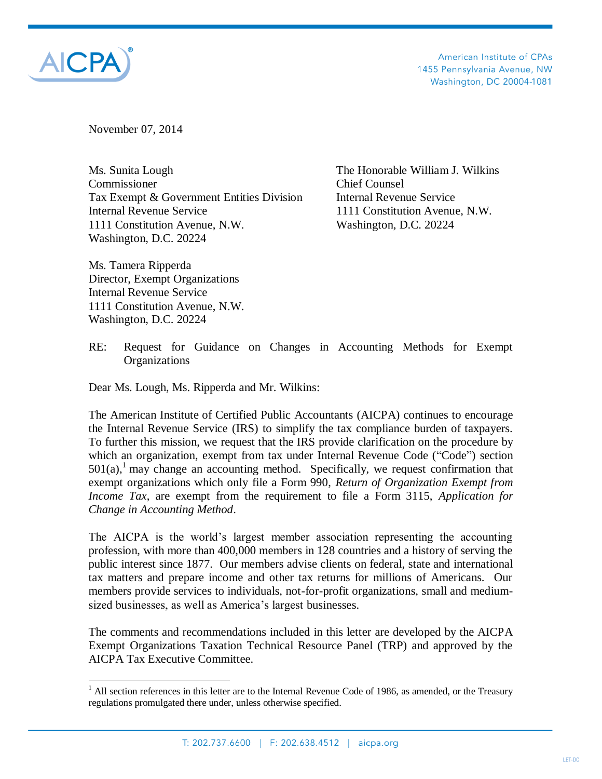

 $\overline{a}$ 

American Institute of CPAs 1455 Pennsylvania Avenue, NW Washington, DC 20004-1081

November 07, 2014

Ms. Sunita Lough The Honorable William J. Wilkins Commissioner Chief Counsel Tax Exempt & Government Entities Division Internal Revenue Service Internal Revenue Service 1111 Constitution Avenue, N.W. 1111 Constitution Avenue, N.W. Washington, D.C. 20224 Washington, D.C. 20224

Ms. Tamera Ripperda Director, Exempt Organizations Internal Revenue Service 1111 Constitution Avenue, N.W. Washington, D.C. 20224

RE: Request for Guidance on Changes in Accounting Methods for Exempt **Organizations** 

Dear Ms. Lough, Ms. Ripperda and Mr. Wilkins:

The American Institute of Certified Public Accountants (AICPA) continues to encourage the Internal Revenue Service (IRS) to simplify the tax compliance burden of taxpayers. To further this mission, we request that the IRS provide clarification on the procedure by which an organization, exempt from tax under Internal Revenue Code ("Code") section  $501(a)$ , may change an accounting method. Specifically, we request confirmation that exempt organizations which only file a Form 990, *Return of Organization Exempt from Income Tax*, are exempt from the requirement to file a Form 3115, *Application for Change in Accounting Method*.

The AICPA is the world's largest member association representing the accounting profession, with more than 400,000 members in 128 countries and a history of serving the public interest since 1877. Our members advise clients on federal, state and international tax matters and prepare income and other tax returns for millions of Americans. Our members provide services to individuals, not-for-profit organizations, small and mediumsized businesses, as well as America's largest businesses.

The comments and recommendations included in this letter are developed by the AICPA Exempt Organizations Taxation Technical Resource Panel (TRP) and approved by the AICPA Tax Executive Committee.

 $1$  All section references in this letter are to the Internal Revenue Code of 1986, as amended, or the Treasury regulations promulgated there under, unless otherwise specified.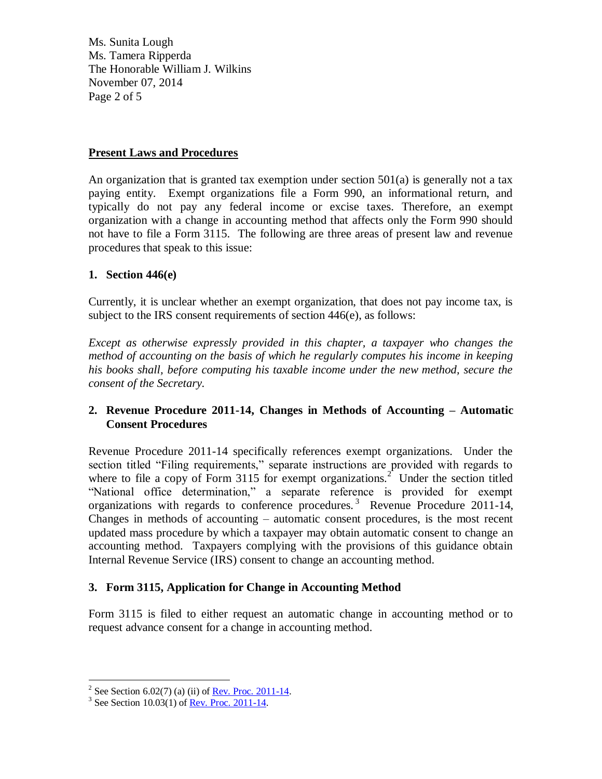Ms. Sunita Lough Ms. Tamera Ripperda The Honorable William J. Wilkins November 07, 2014 Page 2 of 5

## **Present Laws and Procedures**

An organization that is granted tax exemption under section  $501(a)$  is generally not a tax paying entity. Exempt organizations file a Form 990, an informational return, and typically do not pay any federal income or excise taxes. Therefore, an exempt organization with a change in accounting method that affects only the Form 990 should not have to file a Form 3115. The following are three areas of present law and revenue procedures that speak to this issue:

## **1. Section 446(e)**

Currently, it is unclear whether an exempt organization, that does not pay income tax, is subject to the IRS consent requirements of section 446(e), as follows:

*Except as otherwise expressly provided in this chapter, a taxpayer who changes the method of accounting on the basis of which he regularly computes his income in keeping his books shall, before computing his taxable income under the new method, secure the consent of the Secretary.*

## **2. Revenue Procedure 2011-14, Changes in Methods of Accounting – Automatic Consent Procedures**

Revenue Procedure 2011-14 specifically references exempt organizations. Under the section titled "Filing requirements," separate instructions are provided with regards to where to file a copy of Form 3115 for exempt organizations.<sup>2</sup> Under the section titled "National office determination," a separate reference is provided for exempt organizations with regards to conference procedures.<sup>3</sup> Revenue Procedure 2011-14, Changes in methods of accounting – automatic consent procedures, is the most recent updated mass procedure by which a taxpayer may obtain automatic consent to change an accounting method. Taxpayers complying with the provisions of this guidance obtain Internal Revenue Service (IRS) consent to change an accounting method.

# **3. Form 3115, Application for Change in Accounting Method**

Form 3115 is filed to either request an automatic change in accounting method or to request advance consent for a change in accounting method.

<sup>&</sup>lt;sup>2</sup> See Section 6.02(7) (a) (ii) of <u>Rev. Proc. 2011-14</u>.

<sup>&</sup>lt;sup>3</sup> See Section 10.03(1) of <u>Rev. Proc. 2011-14</u>.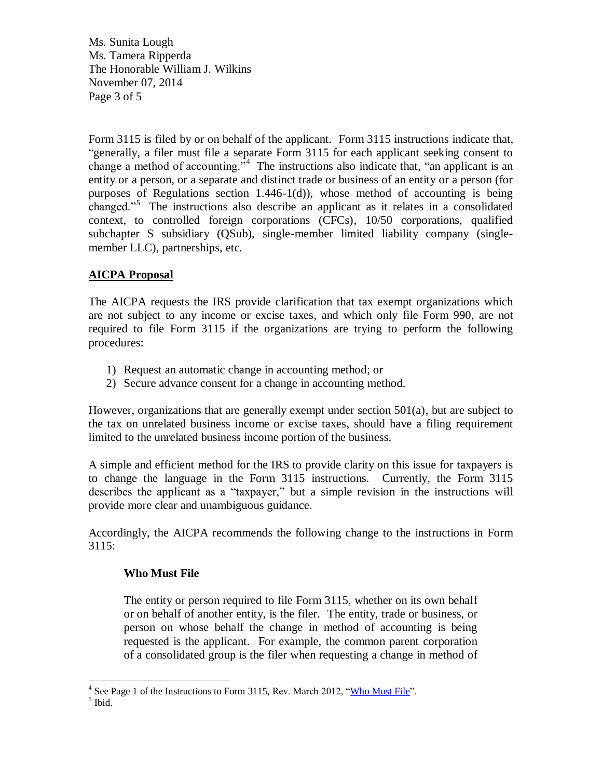Ms. Sunita Lough Ms. Tamera Ripperda The Honorable William J. Wilkins November 07, 2014 Page 3 of 5

Form 3115 is filed by or on behalf of the applicant. Form 3115 instructions indicate that, "generally, a filer must file a separate Form 3115 for each applicant seeking consent to change a method of accounting.<sup>34</sup> The instructions also indicate that, "an applicant is an entity or a person, or a separate and distinct trade or business of an entity or a person (for purposes of Regulations section 1.446-1(d)), whose method of accounting is being changed."<sup>5</sup> The instructions also describe an applicant as it relates in a consolidated context, to controlled foreign corporations (CFCs), 10/50 corporations, qualified subchapter S subsidiary (QSub), single-member limited liability company (singlemember LLC), partnerships, etc.

# **AICPA Proposal**

The AICPA requests the IRS provide clarification that tax exempt organizations which are not subject to any income or excise taxes, and which only file Form 990, are not required to file Form 3115 if the organizations are trying to perform the following procedures:

- 1) Request an automatic change in accounting method; or
- 2) Secure advance consent for a change in accounting method.

However, organizations that are generally exempt under section 501(a), but are subject to the tax on unrelated business income or excise taxes, should have a filing requirement limited to the unrelated business income portion of the business.

A simple and efficient method for the IRS to provide clarity on this issue for taxpayers is to change the language in the Form 3115 instructions. Currently, the Form 3115 describes the applicant as a "taxpayer," but a simple revision in the instructions will provide more clear and unambiguous guidance.

Accordingly, the AICPA recommends the following change to the instructions in Form 3115:

# **Who Must File**

The entity or person required to file Form 3115, whether on its own behalf or on behalf of another entity, is the filer. The entity, trade or business, or person on whose behalf the change in method of accounting is being requested is the applicant. For example, the common parent corporation of a consolidated group is the filer when requesting a change in method of

<sup>&</sup>lt;sup>4</sup> See Page 1 of the Instructions to Form 3115, Rev. March 2012, ["Who Must File"](http://www.irs.gov/pub/irs-pdf/i3115.pdf).

<sup>5</sup> Ibid.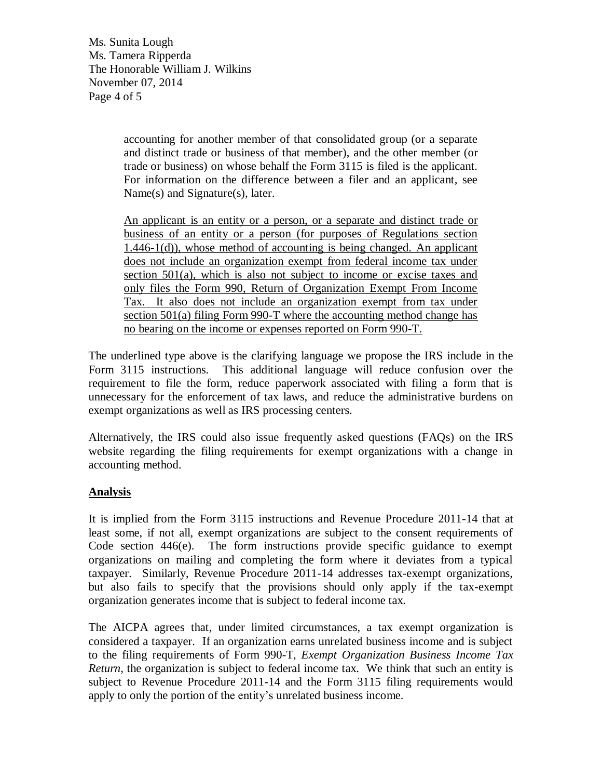Ms. Sunita Lough Ms. Tamera Ripperda The Honorable William J. Wilkins November 07, 2014 Page 4 of 5

> accounting for another member of that consolidated group (or a separate and distinct trade or business of that member), and the other member (or trade or business) on whose behalf the Form 3115 is filed is the applicant. For information on the difference between a filer and an applicant, see Name(s) and Signature(s), later.

> An applicant is an entity or a person, or a separate and distinct trade or business of an entity or a person (for purposes of Regulations section  $1.446-1(d)$ , whose method of accounting is being changed. An applicant does not include an organization exempt from federal income tax under section 501(a), which is also not subject to income or excise taxes and only files the Form 990, Return of Organization Exempt From Income Tax. It also does not include an organization exempt from tax under section 501(a) filing Form 990-T where the accounting method change has no bearing on the income or expenses reported on Form 990-T.

The underlined type above is the clarifying language we propose the IRS include in the Form 3115 instructions. This additional language will reduce confusion over the requirement to file the form, reduce paperwork associated with filing a form that is unnecessary for the enforcement of tax laws, and reduce the administrative burdens on exempt organizations as well as IRS processing centers.

Alternatively, the IRS could also issue frequently asked questions (FAQs) on the IRS website regarding the filing requirements for exempt organizations with a change in accounting method.

### **Analysis**

It is implied from the Form 3115 instructions and Revenue Procedure 2011-14 that at least some, if not all, exempt organizations are subject to the consent requirements of Code section 446(e). The form instructions provide specific guidance to exempt organizations on mailing and completing the form where it deviates from a typical taxpayer. Similarly, Revenue Procedure 2011-14 addresses tax-exempt organizations, but also fails to specify that the provisions should only apply if the tax-exempt organization generates income that is subject to federal income tax.

The AICPA agrees that, under limited circumstances, a tax exempt organization is considered a taxpayer. If an organization earns unrelated business income and is subject to the filing requirements of Form 990-T, *Exempt Organization Business Income Tax Return*, the organization is subject to federal income tax. We think that such an entity is subject to Revenue Procedure 2011-14 and the Form 3115 filing requirements would apply to only the portion of the entity's unrelated business income.